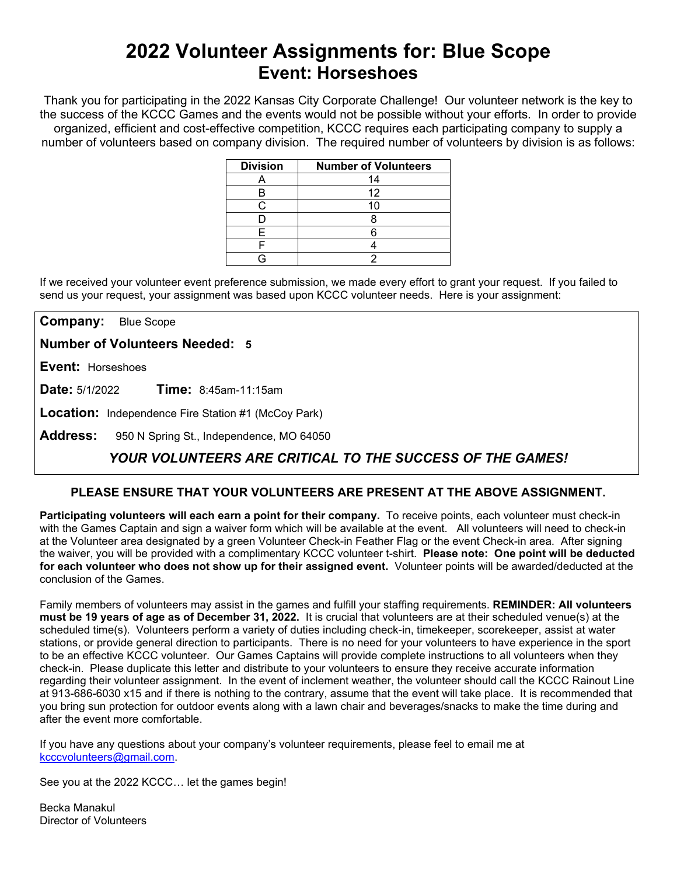# **2022 Volunteer Assignments for: Blue Scope Event: Horseshoes**

Thank you for participating in the 2022 Kansas City Corporate Challenge! Our volunteer network is the key to the success of the KCCC Games and the events would not be possible without your efforts.In order to provide organized, efficient and cost-effective competition, KCCC requires each participating company to supply a number of volunteers based on company division. The required number of volunteers by division is as follows:

| <b>Division</b> | <b>Number of Volunteers</b> |
|-----------------|-----------------------------|
|                 | 14                          |
| В               | 12                          |
|                 |                             |
|                 |                             |
| F               |                             |
|                 |                             |
|                 |                             |

If we received your volunteer event preference submission, we made every effort to grant your request. If you failed to send us your request, your assignment was based upon KCCC volunteer needs. Here is your assignment:

**Company:** Blue Scope

**Number of Volunteers Needed: 5**

**Event:** Horseshoes

**Date:** 5/1/2022 **Time:** 8:45am-11:15am

**Location:** Independence Fire Station #1 (McCoy Park)

**Address:** 950 N Spring St., Independence, MO 64050

## *YOUR VOLUNTEERS ARE CRITICAL TO THE SUCCESS OF THE GAMES!*

### **PLEASE ENSURE THAT YOUR VOLUNTEERS ARE PRESENT AT THE ABOVE ASSIGNMENT.**

**Participating volunteers will each earn a point for their company.** To receive points, each volunteer must check-in with the Games Captain and sign a waiver form which will be available at the event. All volunteers will need to check-in at the Volunteer area designated by a green Volunteer Check-in Feather Flag or the event Check-in area. After signing the waiver, you will be provided with a complimentary KCCC volunteer t-shirt. **Please note: One point will be deducted for each volunteer who does not show up for their assigned event.** Volunteer points will be awarded/deducted at the conclusion of the Games.

Family members of volunteers may assist in the games and fulfill your staffing requirements. **REMINDER: All volunteers must be 19 years of age as of December 31, 2022.** It is crucial that volunteers are at their scheduled venue(s) at the scheduled time(s). Volunteers perform a variety of duties including check-in, timekeeper, scorekeeper, assist at water stations, or provide general direction to participants. There is no need for your volunteers to have experience in the sport to be an effective KCCC volunteer. Our Games Captains will provide complete instructions to all volunteers when they check-in. Please duplicate this letter and distribute to your volunteers to ensure they receive accurate information regarding their volunteer assignment. In the event of inclement weather, the volunteer should call the KCCC Rainout Line at 913-686-6030 x15 and if there is nothing to the contrary, assume that the event will take place. It is recommended that you bring sun protection for outdoor events along with a lawn chair and beverages/snacks to make the time during and after the event more comfortable.

If you have any questions about your company's volunteer requirements, please feel to email me at [kcccvolunteers@gmail.com.](mailto:kcccvolunteers@gmail.com)

See you at the 2022 KCCC… let the games begin!

Becka Manakul Director of Volunteers